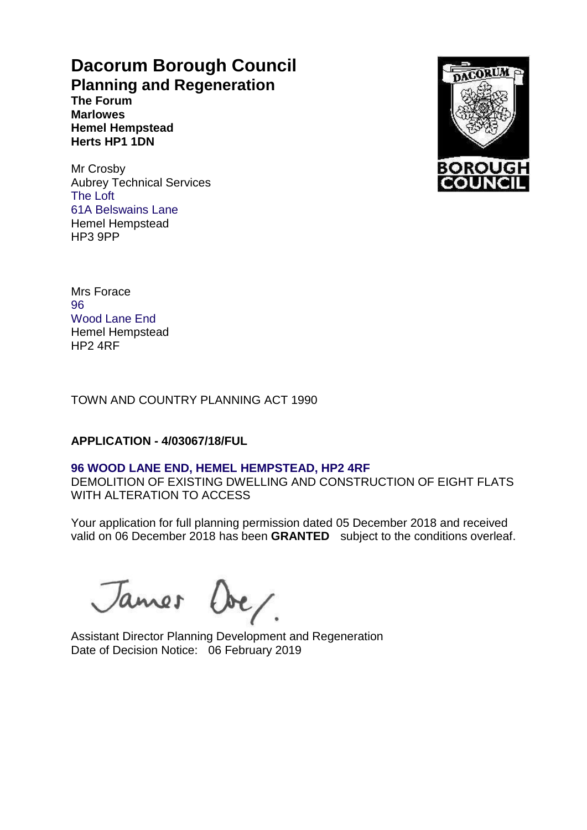# **Dacorum Borough Council Planning and Regeneration**

**The Forum Marlowes Hemel Hempstead Herts HP1 1DN**

Mr Crosby Aubrey Technical Services The Loft 61A Belswains Lane Hemel Hempstead HP3 9PP



Mrs Forace 96 Wood Lane End Hemel Hempstead HP2 4RF

TOWN AND COUNTRY PLANNING ACT 1990

# **APPLICATION - 4/03067/18/FUL**

# **96 WOOD LANE END, HEMEL HEMPSTEAD, HP2 4RF**

DEMOLITION OF EXISTING DWELLING AND CONSTRUCTION OF EIGHT FLATS WITH ALTERATION TO ACCESS

Your application for full planning permission dated 05 December 2018 and received valid on 06 December 2018 has been **GRANTED** subject to the conditions overleaf.

James Over

Assistant Director Planning Development and Regeneration Date of Decision Notice: 06 February 2019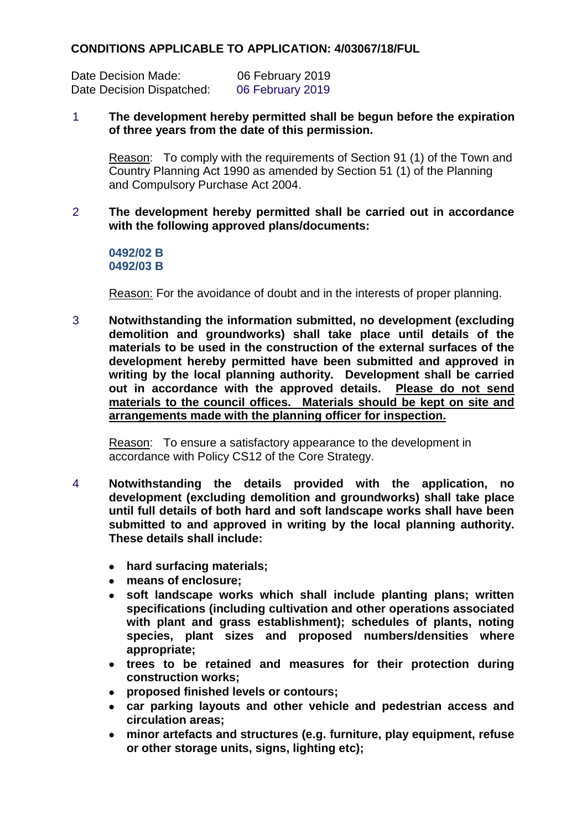# **CONDITIONS APPLICABLE TO APPLICATION: 4/03067/18/FUL**

Date Decision Made: 06 February 2019 Date Decision Dispatched: 06 February 2019

## 1 **The development hereby permitted shall be begun before the expiration of three years from the date of this permission.**

Reason: To comply with the requirements of Section 91 (1) of the Town and Country Planning Act 1990 as amended by Section 51 (1) of the Planning and Compulsory Purchase Act 2004.

# 2 **The development hereby permitted shall be carried out in accordance with the following approved plans/documents:**

#### **0492/02 B 0492/03 B**

Reason: For the avoidance of doubt and in the interests of proper planning.

3 **Notwithstanding the information submitted, no development (excluding demolition and groundworks) shall take place until details of the materials to be used in the construction of the external surfaces of the development hereby permitted have been submitted and approved in writing by the local planning authority. Development shall be carried out in accordance with the approved details. Please do not send materials to the council offices. Materials should be kept on site and arrangements made with the planning officer for inspection.**

Reason: To ensure a satisfactory appearance to the development in accordance with Policy CS12 of the Core Strategy.

- 4 **Notwithstanding the details provided with the application, no development (excluding demolition and groundworks) shall take place until full details of both hard and soft landscape works shall have been submitted to and approved in writing by the local planning authority. These details shall include:**
	- **hard surfacing materials;**
	- **means of enclosure;**
	- **soft landscape works which shall include planting plans; written specifications (including cultivation and other operations associated with plant and grass establishment); schedules of plants, noting species, plant sizes and proposed numbers/densities where appropriate;**
	- **trees to be retained and measures for their protection during construction works;**
	- **proposed finished levels or contours;**
	- **car parking layouts and other vehicle and pedestrian access and circulation areas;**
	- **minor artefacts and structures (e.g. furniture, play equipment, refuse or other storage units, signs, lighting etc);**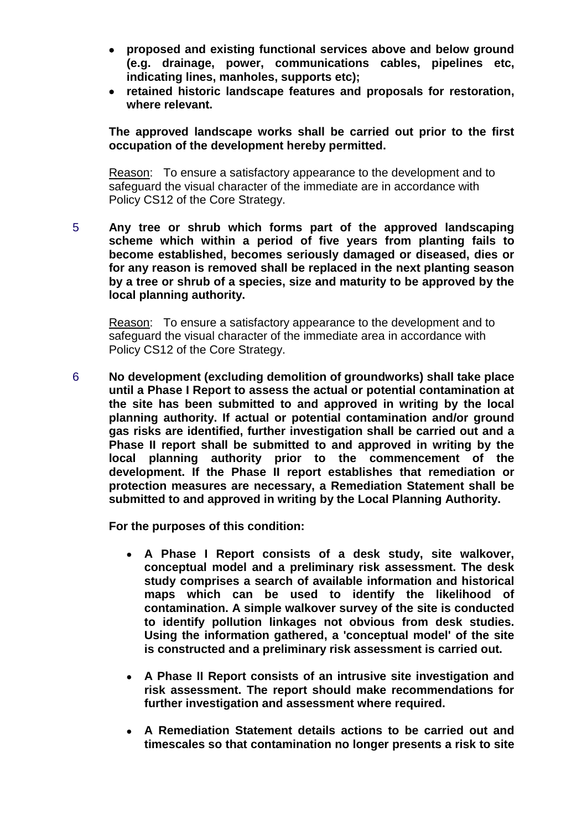- **proposed and existing functional services above and below ground (e.g. drainage, power, communications cables, pipelines etc, indicating lines, manholes, supports etc);**
- **retained historic landscape features and proposals for restoration, where relevant.**

**The approved landscape works shall be carried out prior to the first occupation of the development hereby permitted.**

Reason: To ensure a satisfactory appearance to the development and to safeguard the visual character of the immediate are in accordance with Policy CS12 of the Core Strategy.

5 **Any tree or shrub which forms part of the approved landscaping scheme which within a period of five years from planting fails to become established, becomes seriously damaged or diseased, dies or for any reason is removed shall be replaced in the next planting season by a tree or shrub of a species, size and maturity to be approved by the local planning authority.**

Reason: To ensure a satisfactory appearance to the development and to safeguard the visual character of the immediate area in accordance with Policy CS12 of the Core Strategy.

6 **No development (excluding demolition of groundworks) shall take place until a Phase I Report to assess the actual or potential contamination at the site has been submitted to and approved in writing by the local planning authority. If actual or potential contamination and/or ground gas risks are identified, further investigation shall be carried out and a Phase II report shall be submitted to and approved in writing by the local planning authority prior to the commencement of the development. If the Phase II report establishes that remediation or protection measures are necessary, a Remediation Statement shall be submitted to and approved in writing by the Local Planning Authority.**

**For the purposes of this condition:**

- **A Phase I Report consists of a desk study, site walkover, conceptual model and a preliminary risk assessment. The desk study comprises a search of available information and historical maps which can be used to identify the likelihood of contamination. A simple walkover survey of the site is conducted to identify pollution linkages not obvious from desk studies. Using the information gathered, a 'conceptual model' of the site is constructed and a preliminary risk assessment is carried out.**
- **A Phase II Report consists of an intrusive site investigation and risk assessment. The report should make recommendations for further investigation and assessment where required.**
- **A Remediation Statement details actions to be carried out and timescales so that contamination no longer presents a risk to site**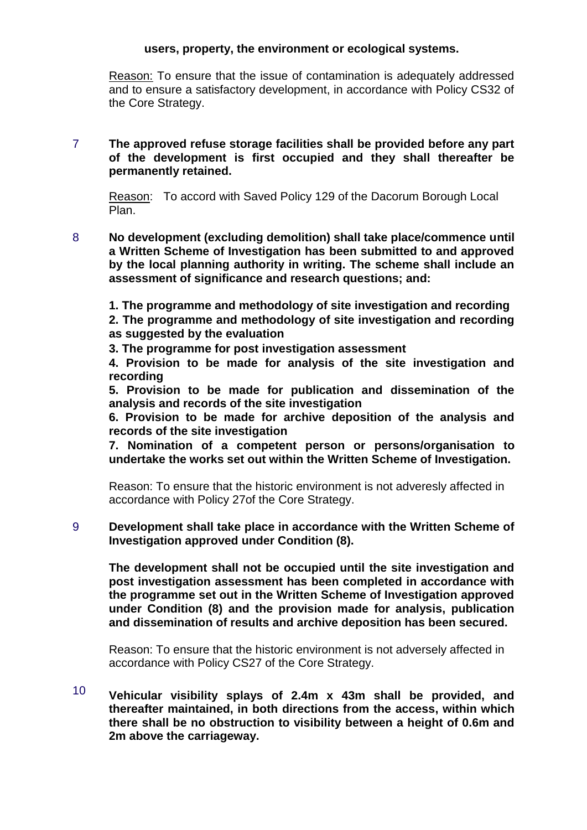## **users, property, the environment or ecological systems.**

Reason: To ensure that the issue of contamination is adequately addressed and to ensure a satisfactory development, in accordance with Policy CS32 of the Core Strategy.

# 7 **The approved refuse storage facilities shall be provided before any part of the development is first occupied and they shall thereafter be permanently retained.**

Reason: To accord with Saved Policy 129 of the Dacorum Borough Local Plan.

8 **No development (excluding demolition) shall take place/commence until a Written Scheme of Investigation has been submitted to and approved by the local planning authority in writing. The scheme shall include an assessment of significance and research questions; and:** 

**1. The programme and methodology of site investigation and recording 2. The programme and methodology of site investigation and recording as suggested by the evaluation** 

**3. The programme for post investigation assessment** 

**4. Provision to be made for analysis of the site investigation and recording** 

**5. Provision to be made for publication and dissemination of the analysis and records of the site investigation** 

**6. Provision to be made for archive deposition of the analysis and records of the site investigation** 

**7. Nomination of a competent person or persons/organisation to undertake the works set out within the Written Scheme of Investigation.** 

Reason: To ensure that the historic environment is not adveresly affected in accordance with Policy 27of the Core Strategy.

# 9 **Development shall take place in accordance with the Written Scheme of Investigation approved under Condition (8).**

**The development shall not be occupied until the site investigation and post investigation assessment has been completed in accordance with the programme set out in the Written Scheme of Investigation approved under Condition (8) and the provision made for analysis, publication and dissemination of results and archive deposition has been secured.** 

Reason: To ensure that the historic environment is not adversely affected in accordance with Policy CS27 of the Core Strategy.

10 **Vehicular visibility splays of 2.4m x 43m shall be provided, and thereafter maintained, in both directions from the access, within which there shall be no obstruction to visibility between a height of 0.6m and 2m above the carriageway.**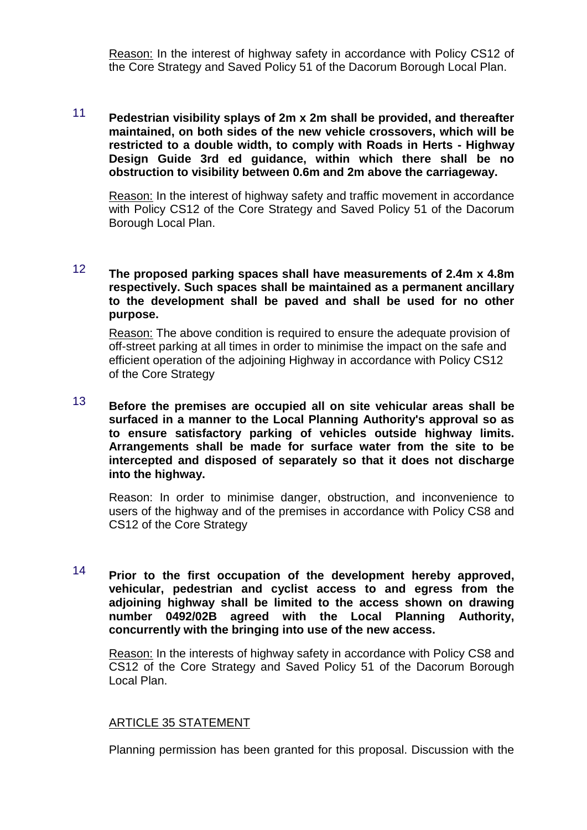Reason: In the interest of highway safety in accordance with Policy CS12 of the Core Strategy and Saved Policy 51 of the Dacorum Borough Local Plan.

# 11 **Pedestrian visibility splays of 2m x 2m shall be provided, and thereafter maintained, on both sides of the new vehicle crossovers, which will be restricted to a double width, to comply with Roads in Herts - Highway Design Guide 3rd ed guidance, within which there shall be no obstruction to visibility between 0.6m and 2m above the carriageway.**

Reason: In the interest of highway safety and traffic movement in accordance with Policy CS12 of the Core Strategy and Saved Policy 51 of the Dacorum Borough Local Plan.

# 12 **The proposed parking spaces shall have measurements of 2.4m x 4.8m respectively. Such spaces shall be maintained as a permanent ancillary to the development shall be paved and shall be used for no other purpose.**

Reason: The above condition is required to ensure the adequate provision of off-street parking at all times in order to minimise the impact on the safe and efficient operation of the adjoining Highway in accordance with Policy CS12 of the Core Strategy

13 **Before the premises are occupied all on site vehicular areas shall be surfaced in a manner to the Local Planning Authority's approval so as to ensure satisfactory parking of vehicles outside highway limits. Arrangements shall be made for surface water from the site to be intercepted and disposed of separately so that it does not discharge into the highway.** 

Reason: In order to minimise danger, obstruction, and inconvenience to users of the highway and of the premises in accordance with Policy CS8 and CS12 of the Core Strategy

14 **Prior to the first occupation of the development hereby approved, vehicular, pedestrian and cyclist access to and egress from the adjoining highway shall be limited to the access shown on drawing number 0492/02B agreed with the Local Planning Authority, concurrently with the bringing into use of the new access.** 

Reason: In the interests of highway safety in accordance with Policy CS8 and CS12 of the Core Strategy and Saved Policy 51 of the Dacorum Borough Local Plan.

# ARTICLE 35 STATEMENT

Planning permission has been granted for this proposal. Discussion with the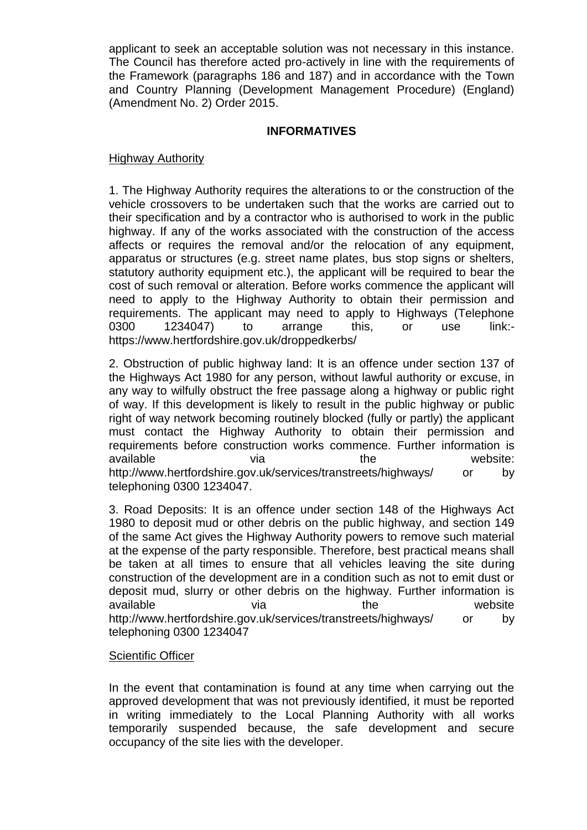applicant to seek an acceptable solution was not necessary in this instance. The Council has therefore acted pro-actively in line with the requirements of the Framework (paragraphs 186 and 187) and in accordance with the Town and Country Planning (Development Management Procedure) (England) (Amendment No. 2) Order 2015.

# **INFORMATIVES**

## Highway Authority

1. The Highway Authority requires the alterations to or the construction of the vehicle crossovers to be undertaken such that the works are carried out to their specification and by a contractor who is authorised to work in the public highway. If any of the works associated with the construction of the access affects or requires the removal and/or the relocation of any equipment, apparatus or structures (e.g. street name plates, bus stop signs or shelters, statutory authority equipment etc.), the applicant will be required to bear the cost of such removal or alteration. Before works commence the applicant will need to apply to the Highway Authority to obtain their permission and requirements. The applicant may need to apply to Highways (Telephone 0300 1234047) to arrange this, or use link: https://www.hertfordshire.gov.uk/droppedkerbs/

2. Obstruction of public highway land: It is an offence under section 137 of the Highways Act 1980 for any person, without lawful authority or excuse, in any way to wilfully obstruct the free passage along a highway or public right of way. If this development is likely to result in the public highway or public right of way network becoming routinely blocked (fully or partly) the applicant must contact the Highway Authority to obtain their permission and requirements before construction works commence. Further information is available via via the website: http://www.hertfordshire.gov.uk/services/transtreets/highways/ or by telephoning 0300 1234047.

3. Road Deposits: It is an offence under section 148 of the Highways Act 1980 to deposit mud or other debris on the public highway, and section 149 of the same Act gives the Highway Authority powers to remove such material at the expense of the party responsible. Therefore, best practical means shall be taken at all times to ensure that all vehicles leaving the site during construction of the development are in a condition such as not to emit dust or deposit mud, slurry or other debris on the highway. Further information is available via via the website http://www.hertfordshire.gov.uk/services/transtreets/highways/ or by telephoning 0300 1234047

#### Scientific Officer

In the event that contamination is found at any time when carrying out the approved development that was not previously identified, it must be reported in writing immediately to the Local Planning Authority with all works temporarily suspended because, the safe development and secure occupancy of the site lies with the developer.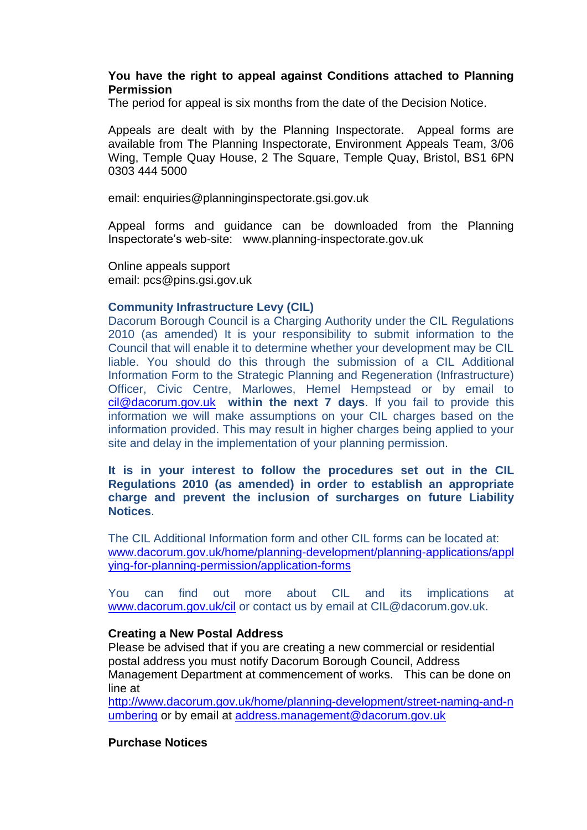## **You have the right to appeal against Conditions attached to Planning Permission**

The period for appeal is six months from the date of the Decision Notice.

Appeals are dealt with by the Planning Inspectorate. Appeal forms are available from The Planning Inspectorate, Environment Appeals Team, 3/06 Wing, Temple Quay House, 2 The Square, Temple Quay, Bristol, BS1 6PN 0303 444 5000

email: enquiries@planninginspectorate.gsi.gov.uk

Appeal forms and guidance can be downloaded from the Planning Inspectorate's web-site: www.planning-inspectorate.gov.uk

Online appeals support email: pcs@pins.gsi.gov.uk

# **Community Infrastructure Levy (CIL)**

Dacorum Borough Council is a Charging Authority under the CIL Regulations 2010 (as amended) It is your responsibility to submit information to the Council that will enable it to determine whether your development may be CIL liable. You should do this through the submission of a CIL Additional Information Form to the Strategic Planning and Regeneration (Infrastructure) Officer, Civic Centre, Marlowes, Hemel Hempstead or by email to cil@dacorum.gov.uk **within the next 7 days**. If you fail to provide this information we will make assumptions on your CIL charges based on the information provided. This may result in higher charges being applied to your site and delay in the implementation of your planning permission.

**It is in your interest to follow the procedures set out in the CIL Regulations 2010 (as amended) in order to establish an appropriate charge and prevent the inclusion of surcharges on future Liability Notices**.

The CIL Additional Information form and other CIL forms can be located at: www.dacorum.gov.uk/home/planning-development/planning-applications/appl ying-for-planning-permission/application-forms

You can find out more about CIL and its implications at www.dacorum.gov.uk/cil or contact us by email at CIL@dacorum.gov.uk.

#### **Creating a New Postal Address**

Please be advised that if you are creating a new commercial or residential postal address you must notify Dacorum Borough Council, Address Management Department at commencement of works. This can be done on line at

http://www.dacorum.gov.uk/home/planning-development/street-naming-and-n umbering or by email at address.management@dacorum.gov.uk

## **Purchase Notices**